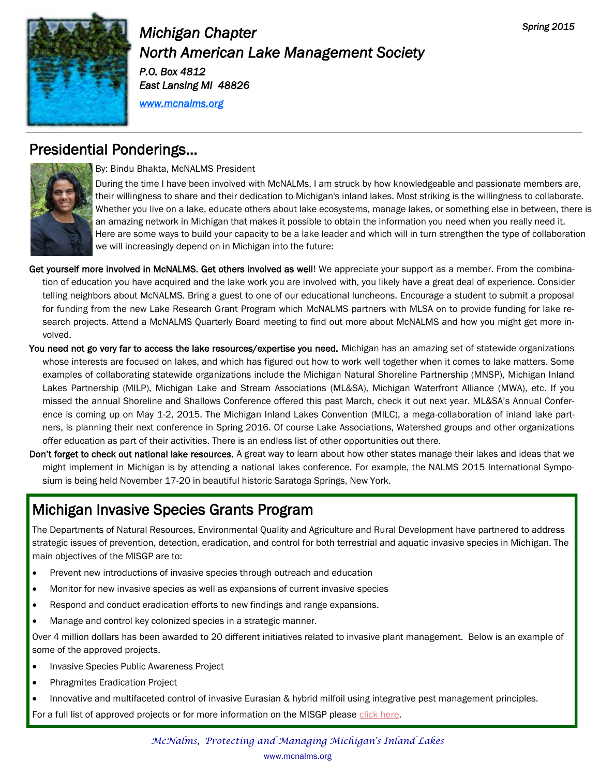

# *Michigan Chapter North American Lake Management Society P.O. Box 4812 East Lansing MI 48826*

*[www.mcnalms.org](http://www.mcnalms.org)*

## Presidential Ponderings…



By: Bindu Bhakta, McNALMS President

During the time I have been involved with McNALMs, I am struck by how knowledgeable and passionate members are, their willingness to share and their dedication to Michigan's inland lakes. Most striking is the willingness to collaborate. Whether you live on a lake, educate others about lake ecosystems, manage lakes, or something else in between, there is an amazing network in Michigan that makes it possible to obtain the information you need when you really need it. Here are some ways to build your capacity to be a lake leader and which will in turn strengthen the type of collaboration we will increasingly depend on in Michigan into the future:

Get yourself more involved in McNALMS. Get others involved as well! We appreciate your support as a member. From the combination of education you have acquired and the lake work you are involved with, you likely have a great deal of experience. Consider telling neighbors about McNALMS. Bring a guest to one of our educational luncheons. Encourage a student to submit a proposal for funding from the new Lake Research Grant Program which McNALMS partners with MLSA on to provide funding for lake research projects. Attend a McNALMS Quarterly Board meeting to find out more about McNALMS and how you might get more involved.

- You need not go very far to access the lake resources/expertise you need. Michigan has an amazing set of statewide organizations whose interests are focused on lakes, and which has figured out how to work well together when it comes to lake matters. Some examples of collaborating statewide organizations include the Michigan Natural Shoreline Partnership (MNSP), Michigan Inland Lakes Partnership (MILP), Michigan Lake and Stream Associations (ML&SA), Michigan Waterfront Alliance (MWA), etc. If you missed the annual Shoreline and Shallows Conference offered this past March, check it out next year. ML&SA's Annual Conference is coming up on May 1-2, 2015. The Michigan Inland Lakes Convention (MILC), a mega-collaboration of inland lake partners, is planning their next conference in Spring 2016. Of course Lake Associations, Watershed groups and other organizations offer education as part of their activities. There is an endless list of other opportunities out there.
- Don't forget to check out national lake resources. A great way to learn about how other states manage their lakes and ideas that we might implement in Michigan is by attending a national lakes conference. For example, the NALMS 2015 International Symposium is being held November 17-20 in beautiful historic Saratoga Springs, New York.

# Michigan Invasive Species Grants Program

The Departments of Natural Resources, Environmental Quality and Agriculture and Rural Development have partnered to address strategic issues of prevention, detection, eradication, and control for both terrestrial and aquatic invasive species in Michigan. The main objectives of the MISGP are to:

- Prevent new introductions of invasive species through outreach and education
- Monitor for new invasive species as well as expansions of current invasive species
- Respond and conduct eradication efforts to new findings and range expansions.
- Manage and control key colonized species in a strategic manner.

Over 4 million dollars has been awarded to 20 different initiatives related to invasive plant management. Below is an example of some of the approved projects.

- Invasive Species Public Awareness Project
- Phragmites Eradication Project
- Innovative and multifaceted control of invasive Eurasian & hybrid milfoil using integrative pest management principles.
- For a full list of approved projects or for more information on the MISGP please [click here.](http://www.michigan.gov/dnr/0,4570,7-153-58225_69835---,00.html)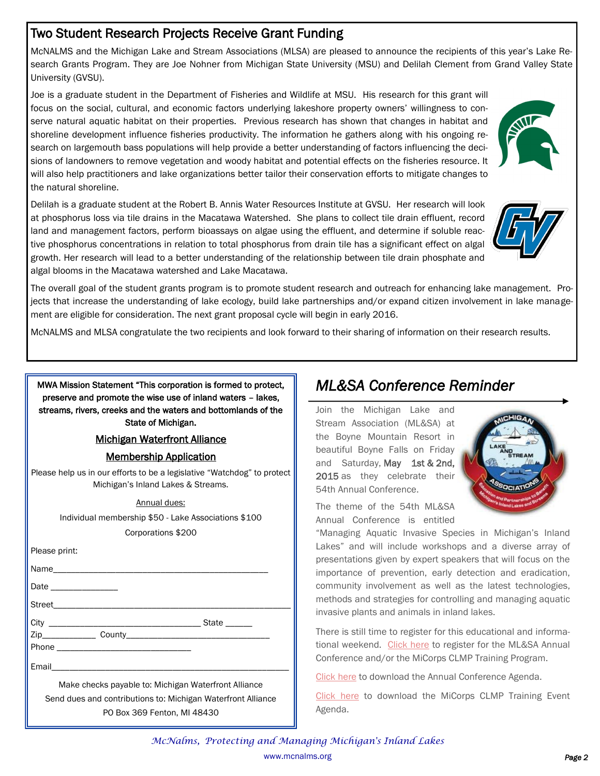## Two Student Research Projects Receive Grant Funding

McNALMS and the Michigan Lake and Stream Associations (MLSA) are pleased to announce the recipients of this year's Lake Research Grants Program. They are Joe Nohner from Michigan State University (MSU) and Delilah Clement from Grand Valley State University (GVSU).

Joe is a graduate student in the Department of Fisheries and Wildlife at MSU. His research for this grant will focus on the social, cultural, and economic factors underlying lakeshore property owners' willingness to conserve natural aquatic habitat on their properties. Previous research has shown that changes in habitat and shoreline development influence fisheries productivity. The information he gathers along with his ongoing research on largemouth bass populations will help provide a better understanding of factors influencing the decisions of landowners to remove vegetation and woody habitat and potential effects on the fisheries resource. It will also help practitioners and lake organizations better tailor their conservation efforts to mitigate changes to the natural shoreline.

Delilah is a graduate student at the Robert B. Annis Water Resources Institute at GVSU. Her research will look at phosphorus loss via tile drains in the Macatawa Watershed. She plans to collect tile drain effluent, record land and management factors, perform bioassays on algae using the effluent, and determine if soluble reactive phosphorus concentrations in relation to total phosphorus from drain tile has a significant effect on algal growth. Her research will lead to a better understanding of the relationship between tile drain phosphate and algal blooms in the Macatawa watershed and Lake Macatawa.





The overall goal of the student grants program is to promote student research and outreach for enhancing lake management. Projects that increase the understanding of lake ecology, build lake partnerships and/or expand citizen involvement in lake management are eligible for consideration. The next grant proposal cycle will begin in early 2016.

McNALMS and MLSA congratulate the two recipients and look forward to their sharing of information on their research results.

MWA Mission Statement "This corporation is formed to protect, preserve and promote the wise use of inland waters – lakes, streams, rivers, creeks and the waters and bottomlands of the State of Michigan.

### Michigan Waterfront Alliance

### Membership Application

Please help us in our efforts to be a legislative "Watchdog" to protect Michigan's Inland Lakes & Streams.

#### Annual dues:

Individual membership \$50 - Lake Associations \$100 Corporations \$200

|       | State ______ |
|-------|--------------|
|       |              |
|       |              |
| Email |              |

Make checks payable to: Michigan Waterfront Alliance Send dues and contributions to: Michigan Waterfront Alliance PO Box 369 Fenton, MI 48430

# *ML&SA Conference Reminder*

Join the Michigan Lake and Stream Association (ML&SA) at the Boyne Mountain Resort in beautiful Boyne Falls on Friday and Saturday, May 1st & 2nd, 2015 as they celebrate their 54th Annual Conference.



The theme of the 54th ML&SA Annual Conference is entitled

"Managing Aquatic Invasive Species in Michigan's Inland Lakes" and will include workshops and a diverse array of presentations given by expert speakers that will focus on the importance of prevention, early detection and eradication, community involvement as well as the latest technologies, methods and strategies for controlling and managing aquatic invasive plants and animals in inland lakes.

There is still time to register for this educational and informa-tional weekend. [Click here](http://www.mymlsa.org/event-registration) to register for the ML&SA Annual Conference and/or the MiCorps CLMP Training Program.

[Click here](http://www.mymlsa.org/wp-content/uploads/2015/02/MLSA-54th-Annual-Conference-Final-Agenda.pdf) to download the Annual Conference Agenda.

[Click here t](http://www.mymlsa.org/wp-content/uploads/2015/02/2015-MiCorps-CLMP-Training-Event-Agenda.pdf)o download the MiCorps CLMP Training Event Agenda.

*McNalms, Protecting and Managing Michigan's Inland Lakes*  www.mcnalms.org